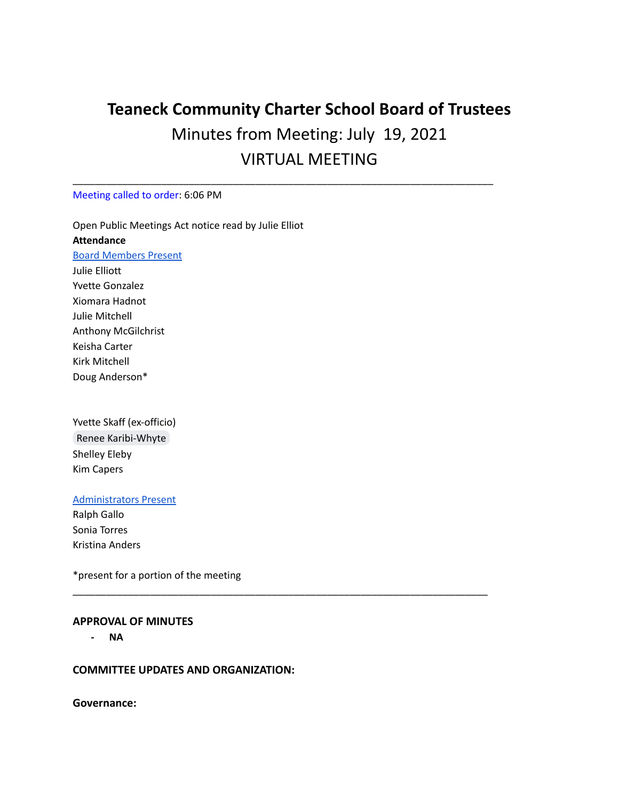# **Teaneck Community Charter School Board of Trustees** Minutes from Meeting: July 19, 2021 VIRTUAL MEETING

\_\_\_\_\_\_\_\_\_\_\_\_\_\_\_\_\_\_\_\_\_\_\_\_\_\_\_\_\_\_\_\_\_\_\_\_\_\_\_\_\_\_\_\_\_\_\_\_\_\_\_\_\_\_\_\_\_\_\_\_\_\_\_\_\_\_\_\_\_\_\_\_\_\_\_\_

\_\_\_\_\_\_\_\_\_\_\_\_\_\_\_\_\_\_\_\_\_\_\_\_\_\_\_\_\_\_\_\_\_\_\_\_\_\_\_\_\_\_\_\_\_\_\_\_\_\_\_\_\_\_\_\_\_\_\_\_\_\_\_\_\_\_\_\_\_\_\_\_\_\_\_

### Meeting called to order: 6:06 PM

Open Public Meetings Act notice read by Julie Elliot **Attendance** Board Members Present Julie Elliott Yvette Gonzalez Xiomara Hadnot Julie Mitchell Anthony McGilchrist Keisha Carter Kirk Mitchell

Doug Anderson\*

Yvette Skaff (ex-officio) Renee [Karibi-Whyte](mailto:rkaribi@tccsnj.org) Shelley Eleby Kim Capers

## Administrators Present

Ralph Gallo Sonia Torres Kristina Anders

\*present for a portion of the meeting

#### **APPROVAL OF MINUTES**

**- NA**

#### **COMMITTEE UPDATES AND ORGANIZATION:**

**Governance:**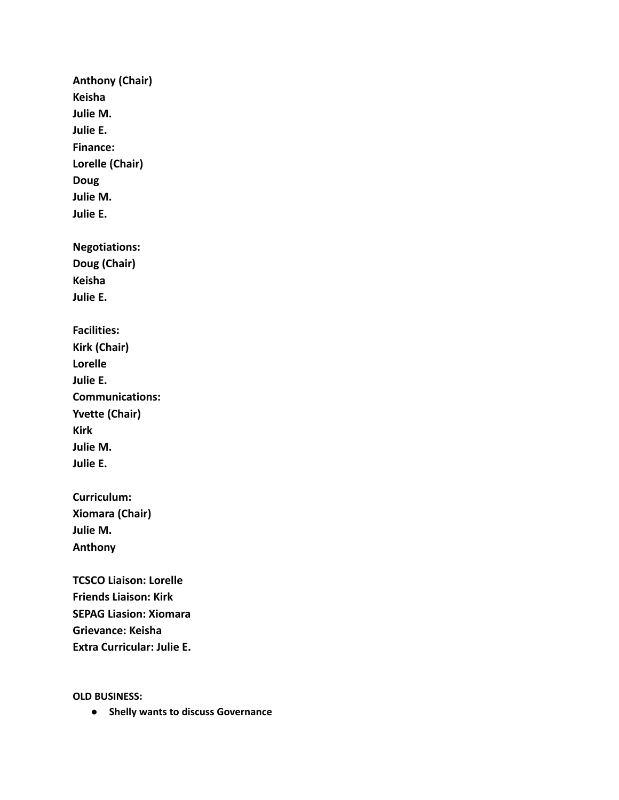**Anthony (Chair) Keisha Julie M. Julie E. Finance: Lorelle (Chair) Doug Julie M. Julie E. Negotiations: Doug (Chair) Keisha Julie E. Facilities: Kirk (Chair) Lorelle Julie E. Communications: Yvette (Chair) Kirk Julie M. Julie E. Curriculum: Xiomara (Chair) Julie M. Anthony TCSCO Liaison: Lorelle Friends Liaison: Kirk SEPAG Liasion: Xiomara Grievance: Keisha**

**Extra Curricular: Julie E.**

**OLD BUSINESS:**

**● Shelly wants to discuss Governance**